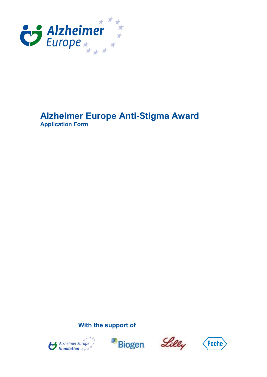

## **Alzheimer Europe Anti-Stigma Award Application Form**

**With the support of**







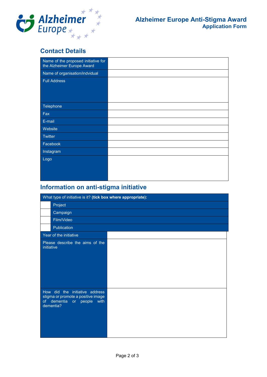

## **Contact Details**

| Name of the proposed initiative for<br>the Alzheimer Europe Award |  |
|-------------------------------------------------------------------|--|
| Name of organisation/indvidual                                    |  |
| <b>Full Address</b>                                               |  |
|                                                                   |  |
|                                                                   |  |
|                                                                   |  |
| Telephone                                                         |  |
| Fax                                                               |  |
| E-mail                                                            |  |
| Website                                                           |  |
| <b>Twitter</b>                                                    |  |
| Facebook                                                          |  |
| Instagram                                                         |  |
| Logo                                                              |  |
|                                                                   |  |
|                                                                   |  |
|                                                                   |  |

## **Information on anti-stigma initiative**

| What type of initiative is it? (tick box where appropriate): |                                                                                                              |  |
|--------------------------------------------------------------|--------------------------------------------------------------------------------------------------------------|--|
|                                                              | Project                                                                                                      |  |
|                                                              | Campaign                                                                                                     |  |
|                                                              | Film/Video                                                                                                   |  |
|                                                              | Publication                                                                                                  |  |
|                                                              | Year of the initiative                                                                                       |  |
| initiative                                                   | Please describe the aims of the                                                                              |  |
| of                                                           | How did the initiative address<br>stigma or promote a positive image<br>dementia or people with<br>dementia? |  |